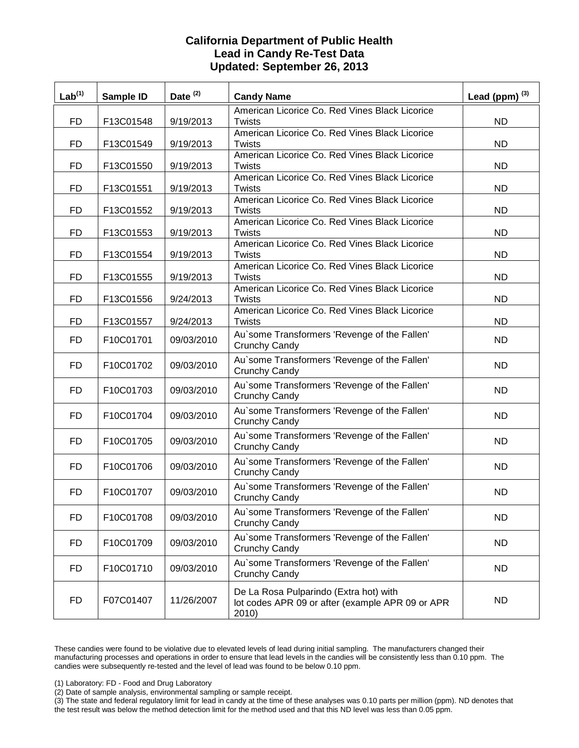#### **California Department of Public Health Lead in Candy Re-Test Data Updated: September 26, 2013**

| Lab <sup>(1)</sup> | Sample ID | Date <sup>(2)</sup> | <b>Candy Name</b>                                                                                   | Lead (ppm) $^{(3)}$ |
|--------------------|-----------|---------------------|-----------------------------------------------------------------------------------------------------|---------------------|
| <b>FD</b>          | F13C01548 | 9/19/2013           | American Licorice Co. Red Vines Black Licorice<br><b>Twists</b>                                     | <b>ND</b>           |
|                    |           |                     | American Licorice Co. Red Vines Black Licorice                                                      |                     |
| <b>FD</b>          | F13C01549 | 9/19/2013           | <b>Twists</b>                                                                                       | <b>ND</b>           |
|                    |           |                     | American Licorice Co. Red Vines Black Licorice                                                      |                     |
| <b>FD</b>          | F13C01550 | 9/19/2013           | <b>Twists</b><br>American Licorice Co. Red Vines Black Licorice                                     | <b>ND</b>           |
| <b>FD</b>          | F13C01551 | 9/19/2013           | <b>Twists</b>                                                                                       | <b>ND</b>           |
|                    |           |                     | American Licorice Co. Red Vines Black Licorice                                                      |                     |
| <b>FD</b>          | F13C01552 | 9/19/2013           | <b>Twists</b>                                                                                       | <b>ND</b>           |
|                    |           |                     | American Licorice Co. Red Vines Black Licorice                                                      |                     |
| <b>FD</b>          | F13C01553 | 9/19/2013           | <b>Twists</b>                                                                                       | <b>ND</b>           |
|                    |           |                     | American Licorice Co. Red Vines Black Licorice                                                      |                     |
| <b>FD</b>          | F13C01554 | 9/19/2013           | Twists<br>American Licorice Co. Red Vines Black Licorice                                            | <b>ND</b>           |
| <b>FD</b>          | F13C01555 | 9/19/2013           | <b>Twists</b>                                                                                       | <b>ND</b>           |
|                    |           |                     | American Licorice Co. Red Vines Black Licorice                                                      |                     |
| <b>FD</b>          | F13C01556 | 9/24/2013           | Twists                                                                                              | <b>ND</b>           |
|                    |           |                     | American Licorice Co. Red Vines Black Licorice                                                      |                     |
| <b>FD</b>          | F13C01557 | 9/24/2013           | Twists                                                                                              | <b>ND</b>           |
| <b>FD</b>          | F10C01701 | 09/03/2010          | Au'some Transformers 'Revenge of the Fallen'<br><b>Crunchy Candy</b>                                | <b>ND</b>           |
| <b>FD</b>          | F10C01702 | 09/03/2010          | Au'some Transformers 'Revenge of the Fallen'<br>Crunchy Candy                                       | <b>ND</b>           |
| <b>FD</b>          | F10C01703 | 09/03/2010          | Au'some Transformers 'Revenge of the Fallen'<br><b>Crunchy Candy</b>                                | <b>ND</b>           |
| <b>FD</b>          | F10C01704 | 09/03/2010          | Au'some Transformers 'Revenge of the Fallen'<br><b>Crunchy Candy</b>                                | <b>ND</b>           |
| <b>FD</b>          | F10C01705 | 09/03/2010          | Au'some Transformers 'Revenge of the Fallen'<br>Crunchy Candy                                       | <b>ND</b>           |
| <b>FD</b>          | F10C01706 | 09/03/2010          | Au'some Transformers 'Revenge of the Fallen'<br>Crunchy Candy                                       | ND.                 |
| <b>FD</b>          | F10C01707 | 09/03/2010          | Au'some Transformers 'Revenge of the Fallen'<br>Crunchy Candy                                       | <b>ND</b>           |
| <b>FD</b>          | F10C01708 | 09/03/2010          | Au'some Transformers 'Revenge of the Fallen'<br>Crunchy Candy                                       | <b>ND</b>           |
| FD                 | F10C01709 | 09/03/2010          | Au'some Transformers 'Revenge of the Fallen'<br>Crunchy Candy                                       | <b>ND</b>           |
| FD                 | F10C01710 | 09/03/2010          | Au'some Transformers 'Revenge of the Fallen'<br>Crunchy Candy                                       | ND.                 |
| FD                 | F07C01407 | 11/26/2007          | De La Rosa Pulparindo (Extra hot) with<br>lot codes APR 09 or after (example APR 09 or APR<br>2010) | <b>ND</b>           |

These candies were found to be violative due to elevated levels of lead during initial sampling. The manufacturers changed their manufacturing processes and operations in order to ensure that lead levels in the candies will be consistently less than 0.10 ppm. The candies were subsequently re-tested and the level of lead was found to be below 0.10 ppm.

(1) Laboratory: FD - Food and Drug Laboratory

(2) Date of sample analysis, environmental sampling or sample receipt.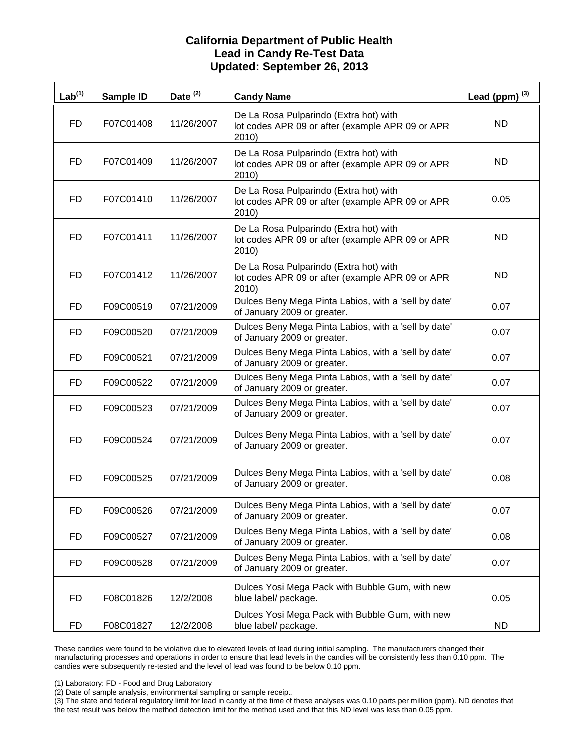#### **California Department of Public Health Lead in Candy Re-Test Data Updated: September 26, 2013**

| Lab <sup>(1)</sup> | Sample ID | Date <sup>(2)</sup> | <b>Candy Name</b>                                                                                   | Lead (ppm) $^{(3)}$ |
|--------------------|-----------|---------------------|-----------------------------------------------------------------------------------------------------|---------------------|
| <b>FD</b>          | F07C01408 | 11/26/2007          | De La Rosa Pulparindo (Extra hot) with<br>lot codes APR 09 or after (example APR 09 or APR<br>2010) | ND.                 |
| FD.                | F07C01409 | 11/26/2007          | De La Rosa Pulparindo (Extra hot) with<br>lot codes APR 09 or after (example APR 09 or APR<br>2010) | ND.                 |
| FD                 | F07C01410 | 11/26/2007          | De La Rosa Pulparindo (Extra hot) with<br>lot codes APR 09 or after (example APR 09 or APR<br>2010) | 0.05                |
| <b>FD</b>          | F07C01411 | 11/26/2007          | De La Rosa Pulparindo (Extra hot) with<br>lot codes APR 09 or after (example APR 09 or APR<br>2010) | <b>ND</b>           |
| <b>FD</b>          | F07C01412 | 11/26/2007          | De La Rosa Pulparindo (Extra hot) with<br>lot codes APR 09 or after (example APR 09 or APR<br>2010) | ND.                 |
| FD.                | F09C00519 | 07/21/2009          | Dulces Beny Mega Pinta Labios, with a 'sell by date'<br>of January 2009 or greater.                 | 0.07                |
| FD                 | F09C00520 | 07/21/2009          | Dulces Beny Mega Pinta Labios, with a 'sell by date'<br>of January 2009 or greater.                 | 0.07                |
| FD.                | F09C00521 | 07/21/2009          | Dulces Beny Mega Pinta Labios, with a 'sell by date'<br>of January 2009 or greater.                 | 0.07                |
| FD                 | F09C00522 | 07/21/2009          | Dulces Beny Mega Pinta Labios, with a 'sell by date'<br>of January 2009 or greater.                 | 0.07                |
| <b>FD</b>          | F09C00523 | 07/21/2009          | Dulces Beny Mega Pinta Labios, with a 'sell by date'<br>of January 2009 or greater.                 | 0.07                |
| FD                 | F09C00524 | 07/21/2009          | Dulces Beny Mega Pinta Labios, with a 'sell by date'<br>of January 2009 or greater.                 | 0.07                |
| <b>FD</b>          | F09C00525 | 07/21/2009          | Dulces Beny Mega Pinta Labios, with a 'sell by date'<br>of January 2009 or greater.                 | 0.08                |
| <b>FD</b>          | F09C00526 | 07/21/2009          | Dulces Beny Mega Pinta Labios, with a 'sell by date'<br>of January 2009 or greater.                 | 0.07                |
| FD.                | F09C00527 | 07/21/2009          | Dulces Beny Mega Pinta Labios, with a 'sell by date'<br>of January 2009 or greater.                 | 0.08                |
| FD                 | F09C00528 | 07/21/2009          | Dulces Beny Mega Pinta Labios, with a 'sell by date'<br>of January 2009 or greater.                 | 0.07                |
| FD.                | F08C01826 | 12/2/2008           | Dulces Yosi Mega Pack with Bubble Gum, with new<br>blue label/ package.                             | 0.05                |
| <b>FD</b>          | F08C01827 | 12/2/2008           | Dulces Yosi Mega Pack with Bubble Gum, with new<br>blue label/ package.                             | <b>ND</b>           |

These candies were found to be violative due to elevated levels of lead during initial sampling. The manufacturers changed their manufacturing processes and operations in order to ensure that lead levels in the candies will be consistently less than 0.10 ppm. The candies were subsequently re-tested and the level of lead was found to be below 0.10 ppm.

(1) Laboratory: FD - Food and Drug Laboratory

(2) Date of sample analysis, environmental sampling or sample receipt.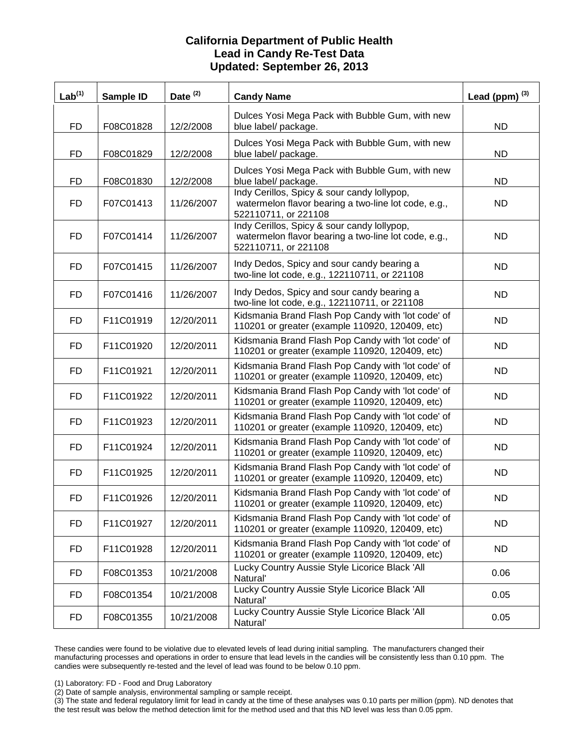| <b>California Department of Public Health</b><br><b>Lead in Candy Re-Test Data</b><br>Updated: September 26, 2013 |           |                     |                                                                                                                             |                     |  |
|-------------------------------------------------------------------------------------------------------------------|-----------|---------------------|-----------------------------------------------------------------------------------------------------------------------------|---------------------|--|
| Lab <sup>(1)</sup>                                                                                                | Sample ID | Date <sup>(2)</sup> | <b>Candy Name</b>                                                                                                           | Lead (ppm) $^{(3)}$ |  |
| <b>FD</b>                                                                                                         | F08C01828 | 12/2/2008           | Dulces Yosi Mega Pack with Bubble Gum, with new<br>blue label/ package.                                                     | <b>ND</b>           |  |
| <b>FD</b>                                                                                                         | F08C01829 | 12/2/2008           | Dulces Yosi Mega Pack with Bubble Gum, with new<br>blue label/ package.                                                     | <b>ND</b>           |  |
| <b>FD</b>                                                                                                         | F08C01830 | 12/2/2008           | Dulces Yosi Mega Pack with Bubble Gum, with new<br>blue label/ package.                                                     | ND.                 |  |
| <b>FD</b>                                                                                                         | F07C01413 | 11/26/2007          | Indy Cerillos, Spicy & sour candy lollypop,<br>watermelon flavor bearing a two-line lot code, e.g.,<br>522110711, or 221108 | ND.                 |  |
| FD.                                                                                                               | F07C01414 | 11/26/2007          | Indy Cerillos, Spicy & sour candy lollypop,<br>watermelon flavor bearing a two-line lot code, e.g.,<br>522110711, or 221108 | ND.                 |  |
| FD                                                                                                                | F07C01415 | 11/26/2007          | Indy Dedos, Spicy and sour candy bearing a<br>two-line lot code, e.g., 122110711, or 221108                                 | <b>ND</b>           |  |
| FD                                                                                                                | F07C01416 | 11/26/2007          | Indy Dedos, Spicy and sour candy bearing a<br>two-line lot code, e.g., 122110711, or 221108                                 | <b>ND</b>           |  |
| FD                                                                                                                | F11C01919 | 12/20/2011          | Kidsmania Brand Flash Pop Candy with 'lot code' of<br>110201 or greater (example 110920, 120409, etc)                       | <b>ND</b>           |  |
| FD                                                                                                                | F11C01920 | 12/20/2011          | Kidsmania Brand Flash Pop Candy with 'lot code' of<br>110201 or greater (example 110920, 120409, etc)                       | ND.                 |  |
| FD.                                                                                                               | F11C01921 | 12/20/2011          | Kidsmania Brand Flash Pop Candy with 'lot code' of<br>110201 or greater (example 110920, 120409, etc)                       | <b>ND</b>           |  |
| FD                                                                                                                | F11C01922 | 12/20/2011          | Kidsmania Brand Flash Pop Candy with 'lot code' of<br>110201 or greater (example 110920, 120409, etc)                       | <b>ND</b>           |  |
| FD.                                                                                                               | F11C01923 | 12/20/2011          | Kidsmania Brand Flash Pop Candy with 'lot code' of<br>110201 or greater (example 110920, 120409, etc)                       | <b>ND</b>           |  |
| <b>FD</b>                                                                                                         | F11C01924 | 12/20/2011          | Kidsmania Brand Flash Pop Candy with 'lot code' of<br>110201 or greater (example 110920, 120409, etc)                       | <b>ND</b>           |  |
| <b>FD</b>                                                                                                         | F11C01925 | 12/20/2011          | Kidsmania Brand Flash Pop Candy with 'lot code' of<br>110201 or greater (example 110920, 120409, etc)                       | <b>ND</b>           |  |
| FD                                                                                                                | F11C01926 | 12/20/2011          | Kidsmania Brand Flash Pop Candy with 'lot code' of<br>110201 or greater (example 110920, 120409, etc)                       | <b>ND</b>           |  |
| FD                                                                                                                | F11C01927 | 12/20/2011          | Kidsmania Brand Flash Pop Candy with 'lot code' of<br>110201 or greater (example 110920, 120409, etc)                       | ND.                 |  |
| FD                                                                                                                | F11C01928 | 12/20/2011          | Kidsmania Brand Flash Pop Candy with 'lot code' of<br>110201 or greater (example 110920, 120409, etc)                       | ND.                 |  |
| FD                                                                                                                | F08C01353 | 10/21/2008          | Lucky Country Aussie Style Licorice Black 'All<br>Natural'                                                                  | 0.06                |  |
| FD                                                                                                                | F08C01354 | 10/21/2008          | Lucky Country Aussie Style Licorice Black 'All<br>Natural'                                                                  | 0.05                |  |
| FD                                                                                                                | F08C01355 | 10/21/2008          | Lucky Country Aussie Style Licorice Black 'All<br>Natural'                                                                  | 0.05                |  |

 These candies were found to be violative due to elevated levels of lead during initial sampling. The manufacturers changed their candies were subsequently re-tested and the level of lead was found to be below 0.10 ppm. manufacturing processes and operations in order to ensure that lead levels in the candies will be consistently less than 0.10 ppm. The

(1) Laboratory: FD - Food and Drug Laboratory

(2) Date of sample analysis, environmental sampling or sample receipt.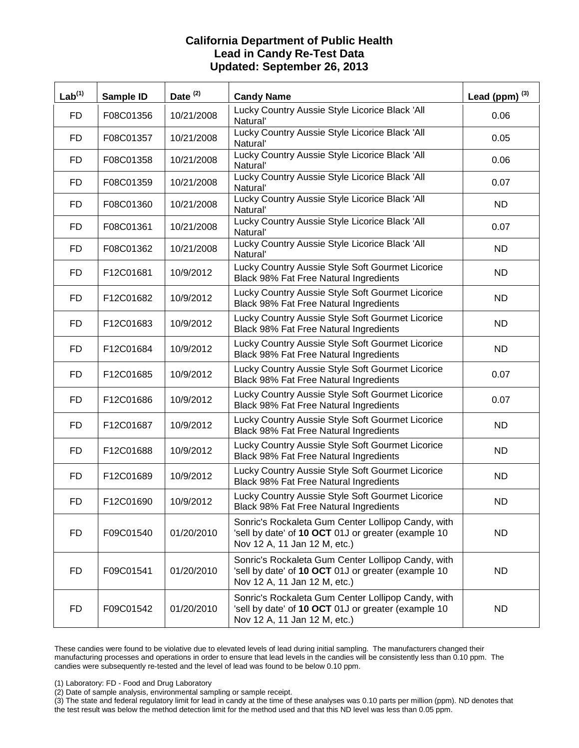| <b>California Department of Public Health</b><br><b>Lead in Candy Re-Test Data</b><br>Updated: September 26, 2013 |           |                     |                                                                                                                                           |                           |  |
|-------------------------------------------------------------------------------------------------------------------|-----------|---------------------|-------------------------------------------------------------------------------------------------------------------------------------------|---------------------------|--|
| Lab <sup>(1)</sup>                                                                                                | Sample ID | Date <sup>(2)</sup> | <b>Candy Name</b>                                                                                                                         | Lead (ppm) <sup>(3)</sup> |  |
| FD.                                                                                                               | F08C01356 | 10/21/2008          | Lucky Country Aussie Style Licorice Black 'All<br>Natural'                                                                                | 0.06                      |  |
| FD.                                                                                                               | F08C01357 | 10/21/2008          | Lucky Country Aussie Style Licorice Black 'All<br>Natural'                                                                                | 0.05                      |  |
| FD.                                                                                                               | F08C01358 | 10/21/2008          | Lucky Country Aussie Style Licorice Black 'All<br>Natural'                                                                                | 0.06                      |  |
| FD.                                                                                                               | F08C01359 | 10/21/2008          | Lucky Country Aussie Style Licorice Black 'All<br>Natural'                                                                                | 0.07                      |  |
| FD                                                                                                                | F08C01360 | 10/21/2008          | Lucky Country Aussie Style Licorice Black 'All<br>Natural'                                                                                | ND.                       |  |
| FD                                                                                                                | F08C01361 | 10/21/2008          | Lucky Country Aussie Style Licorice Black 'All<br>Natural'                                                                                | 0.07                      |  |
| FD                                                                                                                | F08C01362 | 10/21/2008          | Lucky Country Aussie Style Licorice Black 'All<br>Natural'                                                                                | <b>ND</b>                 |  |
| FD.                                                                                                               | F12C01681 | 10/9/2012           | Lucky Country Aussie Style Soft Gourmet Licorice<br>Black 98% Fat Free Natural Ingredients                                                | ND.                       |  |
| FD.                                                                                                               | F12C01682 | 10/9/2012           | Lucky Country Aussie Style Soft Gourmet Licorice<br>Black 98% Fat Free Natural Ingredients                                                | <b>ND</b>                 |  |
| FD                                                                                                                | F12C01683 | 10/9/2012           | Lucky Country Aussie Style Soft Gourmet Licorice<br>Black 98% Fat Free Natural Ingredients                                                | ND.                       |  |
| FD.                                                                                                               | F12C01684 | 10/9/2012           | Lucky Country Aussie Style Soft Gourmet Licorice<br>Black 98% Fat Free Natural Ingredients                                                | <b>ND</b>                 |  |
| FD                                                                                                                | F12C01685 | 10/9/2012           | Lucky Country Aussie Style Soft Gourmet Licorice<br>Black 98% Fat Free Natural Ingredients                                                | 0.07                      |  |
| <b>FD</b>                                                                                                         | F12C01686 | 10/9/2012           | Lucky Country Aussie Style Soft Gourmet Licorice<br>Black 98% Fat Free Natural Ingredients                                                | 0.07                      |  |
| FD.                                                                                                               | F12C01687 | 10/9/2012           | Lucky Country Aussie Style Soft Gourmet Licorice<br>Black 98% Fat Free Natural Ingredients                                                | <b>ND</b>                 |  |
| FD                                                                                                                | F12C01688 | 10/9/2012           | Lucky Country Aussie Style Soft Gourmet Licorice<br>Black 98% Fat Free Natural Ingredients                                                | <b>ND</b>                 |  |
| <b>FD</b>                                                                                                         | F12C01689 | 10/9/2012           | Lucky Country Aussie Style Soft Gourmet Licorice<br>Black 98% Fat Free Natural Ingredients                                                | <b>ND</b>                 |  |
| FD.                                                                                                               | F12C01690 | 10/9/2012           | Lucky Country Aussie Style Soft Gourmet Licorice<br>Black 98% Fat Free Natural Ingredients                                                | <b>ND</b>                 |  |
| FD                                                                                                                | F09C01540 | 01/20/2010          | Sonric's Rockaleta Gum Center Lollipop Candy, with<br>'sell by date' of 10 OCT 01J or greater (example 10<br>Nov 12 A, 11 Jan 12 M, etc.) | <b>ND</b>                 |  |
| <b>FD</b>                                                                                                         | F09C01541 | 01/20/2010          | Sonric's Rockaleta Gum Center Lollipop Candy, with<br>'sell by date' of 10 OCT 01J or greater (example 10<br>Nov 12 A, 11 Jan 12 M, etc.) | ND.                       |  |
| FD.                                                                                                               | F09C01542 | 01/20/2010          | Sonric's Rockaleta Gum Center Lollipop Candy, with<br>'sell by date' of 10 OCT 01J or greater (example 10<br>Nov 12 A, 11 Jan 12 M, etc.) | ND.                       |  |

 These candies were found to be violative due to elevated levels of lead during initial sampling. The manufacturers changed their candies were subsequently re-tested and the level of lead was found to be below 0.10 ppm. manufacturing processes and operations in order to ensure that lead levels in the candies will be consistently less than 0.10 ppm. The

(1) Laboratory: FD - Food and Drug Laboratory

(2) Date of sample analysis, environmental sampling or sample receipt.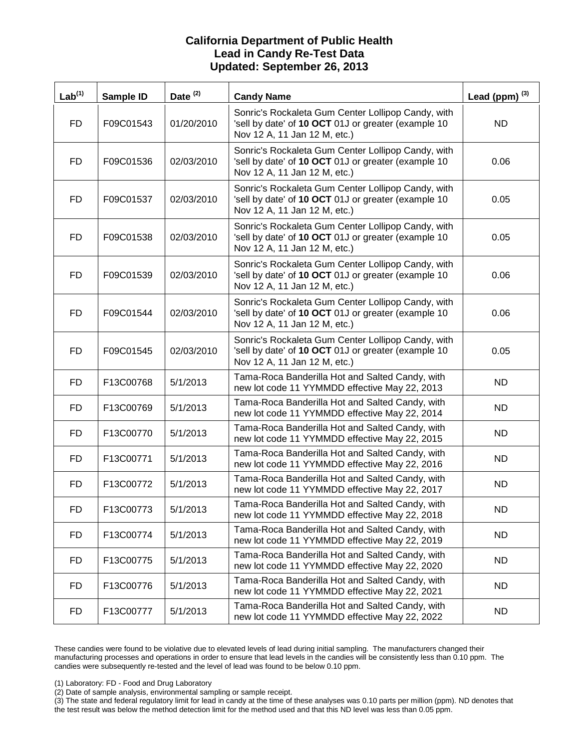| <b>California Department of Public Health</b><br><b>Lead in Candy Re-Test Data</b><br>Updated: September 26, 2013 |           |            |                                                                                                                                           |                     |  |
|-------------------------------------------------------------------------------------------------------------------|-----------|------------|-------------------------------------------------------------------------------------------------------------------------------------------|---------------------|--|
| Lab <sup>(1)</sup>                                                                                                | Sample ID | Date $(2)$ | <b>Candy Name</b>                                                                                                                         | Lead (ppm) $^{(3)}$ |  |
| <b>FD</b>                                                                                                         | F09C01543 | 01/20/2010 | Sonric's Rockaleta Gum Center Lollipop Candy, with<br>'sell by date' of 10 OCT 01J or greater (example 10<br>Nov 12 A, 11 Jan 12 M, etc.) | <b>ND</b>           |  |
| FD.                                                                                                               | F09C01536 | 02/03/2010 | Sonric's Rockaleta Gum Center Lollipop Candy, with<br>'sell by date' of 10 OCT 01J or greater (example 10<br>Nov 12 A, 11 Jan 12 M, etc.) | 0.06                |  |
| <b>FD</b>                                                                                                         | F09C01537 | 02/03/2010 | Sonric's Rockaleta Gum Center Lollipop Candy, with<br>'sell by date' of 10 OCT 01J or greater (example 10<br>Nov 12 A, 11 Jan 12 M, etc.) | 0.05                |  |
| <b>FD</b>                                                                                                         | F09C01538 | 02/03/2010 | Sonric's Rockaleta Gum Center Lollipop Candy, with<br>'sell by date' of 10 OCT 01J or greater (example 10<br>Nov 12 A, 11 Jan 12 M, etc.) | 0.05                |  |
| FD.                                                                                                               | F09C01539 | 02/03/2010 | Sonric's Rockaleta Gum Center Lollipop Candy, with<br>'sell by date' of 10 OCT 01J or greater (example 10<br>Nov 12 A, 11 Jan 12 M, etc.) | 0.06                |  |
| <b>FD</b>                                                                                                         | F09C01544 | 02/03/2010 | Sonric's Rockaleta Gum Center Lollipop Candy, with<br>'sell by date' of 10 OCT 01J or greater (example 10<br>Nov 12 A, 11 Jan 12 M, etc.) | 0.06                |  |
| FD.                                                                                                               | F09C01545 | 02/03/2010 | Sonric's Rockaleta Gum Center Lollipop Candy, with<br>'sell by date' of 10 OCT 01J or greater (example 10<br>Nov 12 A, 11 Jan 12 M, etc.) | 0.05                |  |
| FD.                                                                                                               | F13C00768 | 5/1/2013   | Tama-Roca Banderilla Hot and Salted Candy, with<br>new lot code 11 YYMMDD effective May 22, 2013                                          | <b>ND</b>           |  |
| FD                                                                                                                | F13C00769 | 5/1/2013   | Tama-Roca Banderilla Hot and Salted Candy, with<br>new lot code 11 YYMMDD effective May 22, 2014                                          | ND.                 |  |
| FD.                                                                                                               | F13C00770 | 5/1/2013   | Tama-Roca Banderilla Hot and Salted Candy, with<br>new lot code 11 YYMMDD effective May 22, 2015                                          | <b>ND</b>           |  |
| FD                                                                                                                | F13C00771 | 5/1/2013   | Tama-Roca Banderilla Hot and Salted Candy, with<br>new lot code 11 YYMMDD effective May 22, 2016                                          | ND.                 |  |
| FD                                                                                                                | F13C00772 | 5/1/2013   | Tama-Roca Banderilla Hot and Salted Candy, with<br>new lot code 11 YYMMDD effective May 22, 2017                                          | <b>ND</b>           |  |
| FD                                                                                                                | F13C00773 | 5/1/2013   | Tama-Roca Banderilla Hot and Salted Candy, with<br>new lot code 11 YYMMDD effective May 22, 2018                                          | <b>ND</b>           |  |
| FD                                                                                                                | F13C00774 | 5/1/2013   | Tama-Roca Banderilla Hot and Salted Candy, with<br>new lot code 11 YYMMDD effective May 22, 2019                                          | ND.                 |  |
| <b>FD</b>                                                                                                         | F13C00775 | 5/1/2013   | Tama-Roca Banderilla Hot and Salted Candy, with<br>new lot code 11 YYMMDD effective May 22, 2020                                          | <b>ND</b>           |  |
| FD                                                                                                                | F13C00776 | 5/1/2013   | Tama-Roca Banderilla Hot and Salted Candy, with<br>new lot code 11 YYMMDD effective May 22, 2021                                          | ND.                 |  |
| FD                                                                                                                | F13C00777 | 5/1/2013   | Tama-Roca Banderilla Hot and Salted Candy, with<br>new lot code 11 YYMMDD effective May 22, 2022                                          | <b>ND</b>           |  |

 These candies were found to be violative due to elevated levels of lead during initial sampling. The manufacturers changed their candies were subsequently re-tested and the level of lead was found to be below 0.10 ppm. manufacturing processes and operations in order to ensure that lead levels in the candies will be consistently less than 0.10 ppm. The

(1) Laboratory: FD - Food and Drug Laboratory

(2) Date of sample analysis, environmental sampling or sample receipt.